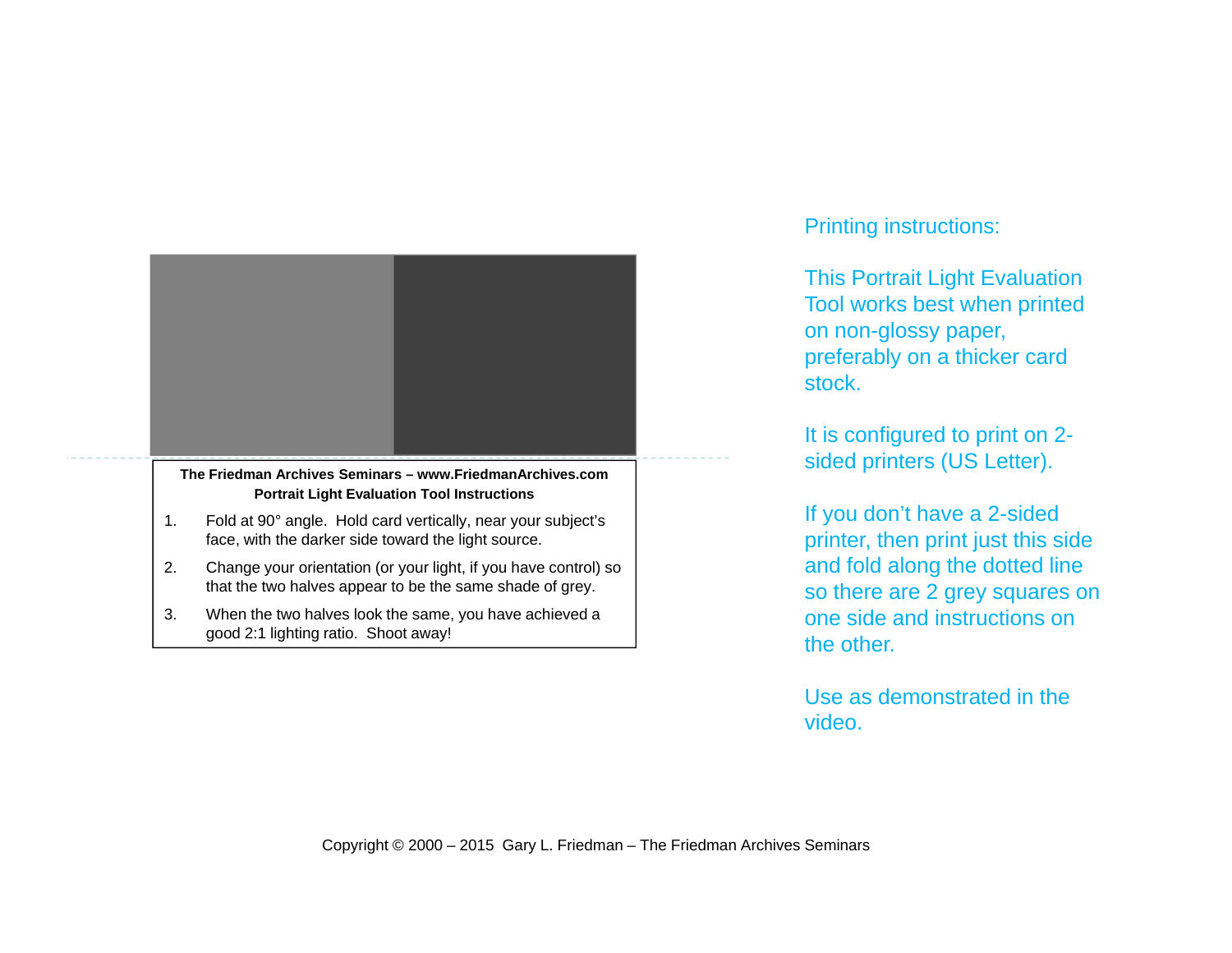

- 2. Change your orientation (or your light, if you have control) so that the two halves appear to be the same shade of grey.
- 3. When the two halves look the same, you have achieved a good 2:1 lighting ratio. Shoot away!

## Printing instructions:

This Portrait Light Evaluation Tool works best when printed on non-glossy paper, preferably on a thicker card stock.

It is configured to print on 2 sided printers (US Letter).

If you don't have a 2-sided printer, then print just this side and fold along the dotted line so there are 2 grey squares on one side and instructions on the other.

Use as demonstrated in the video.